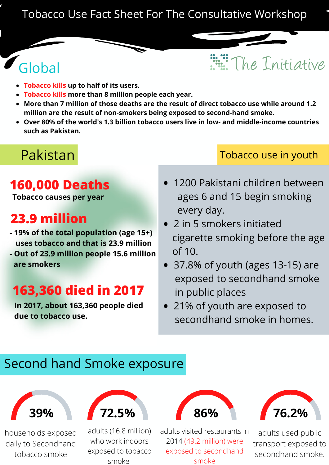#### Tobacco Use Fact Sheet For The Consultative Workshop

# **Globa**

- **Tobacco kills up to half of its users.**
- **Tobacco kills more than 8 million people each year.**
- **More than 7 million of those deaths are the result of direct tobacco use while around 1.2 million are the result of non-smokers being exposed to second-hand smoke.**
- **Over 80% of the world's 1.3 billion tobacco users live in low- and middle-income countries such as Pakistan.**

# Pakistan

### **160,000 Deaths**

**Tobacco causes per year**

## **23.9 million**

- **- 19% of the total population (age 15+) uses tobacco and that is 23.9 million**
- **- Out of 23.9 million people 15.6 million are smokers**

# **163,360 died in 2017**

**In 2017, about 163,360 people died due to tobacco use.**

#### Tobacco use in youth

The Initiative

- 1200 Pakistani children between ages 6 and 15 begin smoking every day.
- 2 in 5 smokers initiated cigarette smoking before the age of 10.
- 37.8% of youth (ages 13-15) are exposed to secondhand smoke in public places
- 21% of youth are exposed to secondhand smoke in homes.

#### Second hand Smoke exposure



households exposed daily to Secondhand tobacco smoke



adults (16.8 million) who work indoors exposed to tobacco smoke



adults visited restaurants in 2014 (49.2 million) were exposed to secondhand smoke



adults used public transport exposed to secondhand smoke.